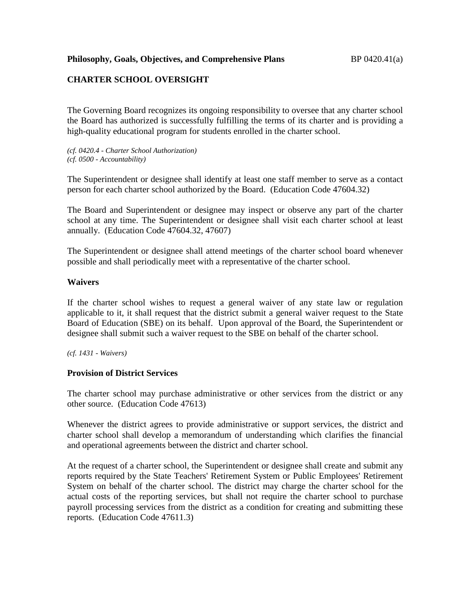## **Philosophy, Goals, Objectives, and Comprehensive Plans** BP 0420.41(a)

# **CHARTER SCHOOL OVERSIGHT**

The Governing Board recognizes its ongoing responsibility to oversee that any charter school the Board has authorized is successfully fulfilling the terms of its charter and is providing a high-quality educational program for students enrolled in the charter school.

*(cf. 0420.4 - Charter School Authorization) (cf. 0500 - Accountability)*

The Superintendent or designee shall identify at least one staff member to serve as a contact person for each charter school authorized by the Board. (Education Code 47604.32)

The Board and Superintendent or designee may inspect or observe any part of the charter school at any time. The Superintendent or designee shall visit each charter school at least annually. (Education Code 47604.32, 47607)

The Superintendent or designee shall attend meetings of the charter school board whenever possible and shall periodically meet with a representative of the charter school.

#### **Waivers**

If the charter school wishes to request a general waiver of any state law or regulation applicable to it, it shall request that the district submit a general waiver request to the State Board of Education (SBE) on its behalf. Upon approval of the Board, the Superintendent or designee shall submit such a waiver request to the SBE on behalf of the charter school.

*(cf. 1431 - Waivers)*

#### **Provision of District Services**

The charter school may purchase administrative or other services from the district or any other source. (Education Code 47613)

Whenever the district agrees to provide administrative or support services, the district and charter school shall develop a memorandum of understanding which clarifies the financial and operational agreements between the district and charter school.

At the request of a charter school, the Superintendent or designee shall create and submit any reports required by the State Teachers' Retirement System or Public Employees' Retirement System on behalf of the charter school. The district may charge the charter school for the actual costs of the reporting services, but shall not require the charter school to purchase payroll processing services from the district as a condition for creating and submitting these reports. (Education Code 47611.3)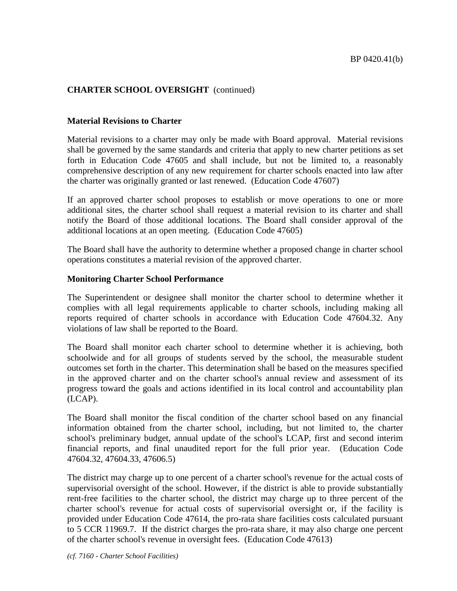## **Material Revisions to Charter**

Material revisions to a charter may only be made with Board approval. Material revisions shall be governed by the same standards and criteria that apply to new charter petitions as set forth in Education Code 47605 and shall include, but not be limited to, a reasonably comprehensive description of any new requirement for charter schools enacted into law after the charter was originally granted or last renewed. (Education Code 47607)

If an approved charter school proposes to establish or move operations to one or more additional sites, the charter school shall request a material revision to its charter and shall notify the Board of those additional locations. The Board shall consider approval of the additional locations at an open meeting. (Education Code 47605)

The Board shall have the authority to determine whether a proposed change in charter school operations constitutes a material revision of the approved charter.

## **Monitoring Charter School Performance**

The Superintendent or designee shall monitor the charter school to determine whether it complies with all legal requirements applicable to charter schools, including making all reports required of charter schools in accordance with Education Code 47604.32. Any violations of law shall be reported to the Board.

The Board shall monitor each charter school to determine whether it is achieving, both schoolwide and for all groups of students served by the school, the measurable student outcomes set forth in the charter. This determination shall be based on the measures specified in the approved charter and on the charter school's annual review and assessment of its progress toward the goals and actions identified in its local control and accountability plan (LCAP).

The Board shall monitor the fiscal condition of the charter school based on any financial information obtained from the charter school, including, but not limited to, the charter school's preliminary budget, annual update of the school's LCAP, first and second interim financial reports, and final unaudited report for the full prior year. (Education Code 47604.32, 47604.33, 47606.5)

The district may charge up to one percent of a charter school's revenue for the actual costs of supervisorial oversight of the school. However, if the district is able to provide substantially rent-free facilities to the charter school, the district may charge up to three percent of the charter school's revenue for actual costs of supervisorial oversight or, if the facility is provided under Education Code 47614, the pro-rata share facilities costs calculated pursuant to 5 CCR 11969.7. If the district charges the pro-rata share, it may also charge one percent of the charter school's revenue in oversight fees. (Education Code 47613)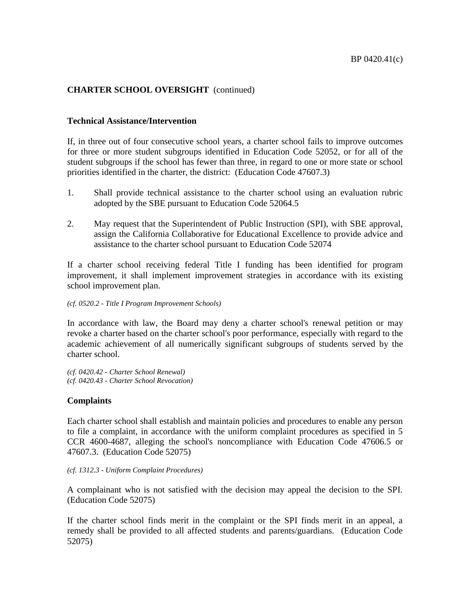## **Technical Assistance/Intervention**

If, in three out of four consecutive school years, a charter school fails to improve outcomes for three or more student subgroups identified in Education Code 52052, or for all of the student subgroups if the school has fewer than three, in regard to one or more state or school priorities identified in the charter, the district: (Education Code 47607.3)

- 1. Shall provide technical assistance to the charter school using an evaluation rubric adopted by the SBE pursuant to Education Code 52064.5
- 2. May request that the Superintendent of Public Instruction (SPI), with SBE approval, assign the California Collaborative for Educational Excellence to provide advice and assistance to the charter school pursuant to Education Code 52074

If a charter school receiving federal Title I funding has been identified for program improvement, it shall implement improvement strategies in accordance with its existing school improvement plan.

#### *(cf. 0520.2 - Title I Program Improvement Schools)*

In accordance with law, the Board may deny a charter school's renewal petition or may revoke a charter based on the charter school's poor performance, especially with regard to the academic achievement of all numerically significant subgroups of students served by the charter school.

*(cf. 0420.42 - Charter School Renewal) (cf. 0420.43 - Charter School Revocation)*

## **Complaints**

Each charter school shall establish and maintain policies and procedures to enable any person to file a complaint, in accordance with the uniform complaint procedures as specified in 5 CCR 4600-4687, alleging the school's noncompliance with Education Code 47606.5 or 47607.3. (Education Code 52075)

#### *(cf. 1312.3 - Uniform Complaint Procedures)*

A complainant who is not satisfied with the decision may appeal the decision to the SPI. (Education Code 52075)

If the charter school finds merit in the complaint or the SPI finds merit in an appeal, a remedy shall be provided to all affected students and parents/guardians. (Education Code 52075)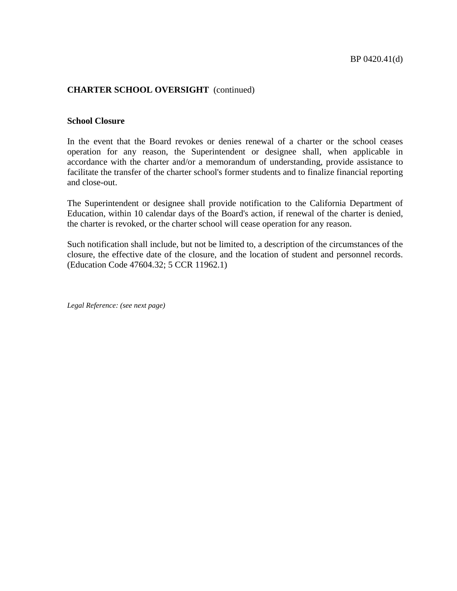### **School Closure**

In the event that the Board revokes or denies renewal of a charter or the school ceases operation for any reason, the Superintendent or designee shall, when applicable in accordance with the charter and/or a memorandum of understanding, provide assistance to facilitate the transfer of the charter school's former students and to finalize financial reporting and close-out.

The Superintendent or designee shall provide notification to the California Department of Education, within 10 calendar days of the Board's action, if renewal of the charter is denied, the charter is revoked, or the charter school will cease operation for any reason.

Such notification shall include, but not be limited to, a description of the circumstances of the closure, the effective date of the closure, and the location of student and personnel records. (Education Code 47604.32; 5 CCR 11962.1)

*Legal Reference: (see next page)*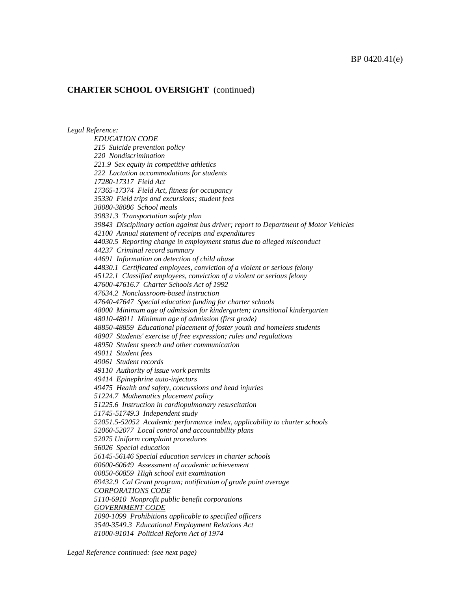*Legal Reference:*

*EDUCATION CODE 215 Suicide prevention policy 220 Nondiscrimination 221.9 Sex equity in competitive athletics 222 Lactation accommodations for students 17280-17317 Field Act 17365-17374 Field Act, fitness for occupancy 35330 Field trips and excursions; student fees 38080-38086 School meals 39831.3 Transportation safety plan 39843 Disciplinary action against bus driver; report to Department of Motor Vehicles 42100 Annual statement of receipts and expenditures 44030.5 Reporting change in employment status due to alleged misconduct 44237 Criminal record summary 44691 Information on detection of child abuse 44830.1 Certificated employees, conviction of a violent or serious felony 45122.1 Classified employees, conviction of a violent or serious felony 47600-47616.7 Charter Schools Act of 1992 47634.2 Nonclassroom-based instruction 47640-47647 Special education funding for charter schools 48000 Minimum age of admission for kindergarten; transitional kindergarten 48010-48011 Minimum age of admission (first grade) 48850-48859 Educational placement of foster youth and homeless students 48907 Students' exercise of free expression; rules and regulations 48950 Student speech and other communication 49011 Student fees 49061 Student records 49110 Authority of issue work permits 49414 Epinephrine auto-injectors 49475 Health and safety, concussions and head injuries 51224.7 Mathematics placement policy 51225.6 Instruction in cardiopulmonary resuscitation 51745-51749.3 Independent study 52051.5-52052 Academic performance index, applicability to charter schools 52060-52077 Local control and accountability plans 52075 Uniform complaint procedures 56026 Special education 56145-56146 Special education services in charter schools 60600-60649 Assessment of academic achievement 60850-60859 High school exit examination 69432.9 Cal Grant program; notification of grade point average CORPORATIONS CODE 5110-6910 Nonprofit public benefit corporations GOVERNMENT CODE 1090-1099 Prohibitions applicable to specified officers 3540-3549.3 Educational Employment Relations Act 81000-91014 Political Reform Act of 1974*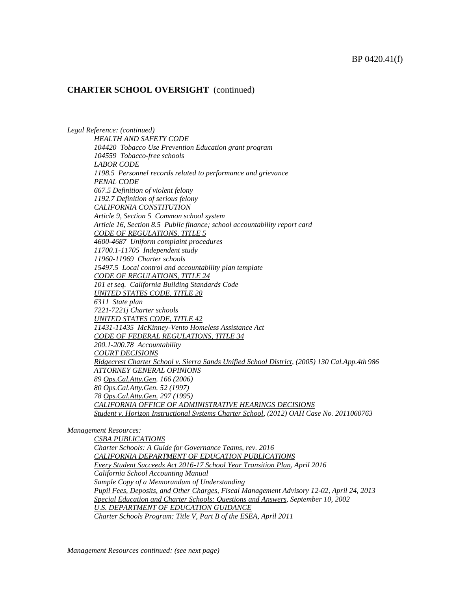*Legal Reference: (continued) HEALTH AND SAFETY CODE 104420 Tobacco Use Prevention Education grant program 104559 Tobacco-free schools LABOR CODE 1198.5 Personnel records related to performance and grievance PENAL CODE 667.5 Definition of violent felony 1192.7 Definition of serious felony CALIFORNIA CONSTITUTION Article 9, Section 5 Common school system Article 16, Section 8.5 Public finance; school accountability report card CODE OF REGULATIONS, TITLE 5 4600-4687 Uniform complaint procedures 11700.1-11705 Independent study 11960-11969 Charter schools 15497.5 Local control and accountability plan template CODE OF REGULATIONS, TITLE 24 101 et seq. California Building Standards Code UNITED STATES CODE, TITLE 20 6311 State plan 7221-7221j Charter schools UNITED STATES CODE, TITLE 42 11431-11435 McKinney-Vento Homeless Assistance Act CODE OF FEDERAL REGULATIONS, TITLE 34 200.1-200.78 Accountability COURT DECISIONS Ridgecrest Charter School v. Sierra Sands Unified School District, (2005) 130 Cal.App.4th 986 ATTORNEY GENERAL OPINIONS 89 Ops.Cal.Atty.Gen. 166 (2006) 80 Ops.Cal.Atty.Gen. 52 (1997) 78 Ops.Cal.Atty.Gen. 297 (1995) CALIFORNIA OFFICE OF ADMINISTRATIVE HEARINGS DECISIONS Student v. Horizon Instructional Systems Charter School, (2012) OAH Case No. 2011060763*

*Management Resources:*

*CSBA PUBLICATIONS Charter Schools: A Guide for Governance Teams, rev. 2016 CALIFORNIA DEPARTMENT OF EDUCATION PUBLICATIONS Every Student Succeeds Act 2016-17 School Year Transition Plan, April 2016 California School Accounting Manual Sample Copy of a Memorandum of Understanding Pupil Fees, Deposits, and Other Charges, Fiscal Management Advisory 12-02, April 24, 2013 Special Education and Charter Schools: Questions and Answers, September 10, 2002 U.S. DEPARTMENT OF EDUCATION GUIDANCE Charter Schools Program: Title V, Part B of the ESEA, April 2011*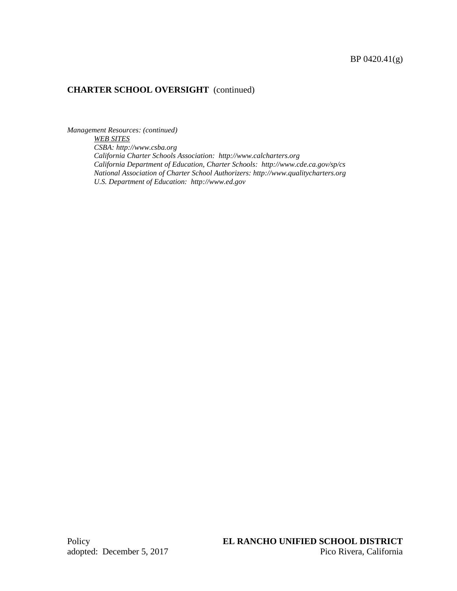*Management Resources: (continued) WEB SITES CSBA: http://www.csba.org California Charter Schools Association: http://www.calcharters.org California Department of Education, Charter Schools: http://www.cde.ca.gov/sp/cs National Association of Charter School Authorizers: http://www.qualitycharters.org U.S. Department of Education: http://www.ed.gov*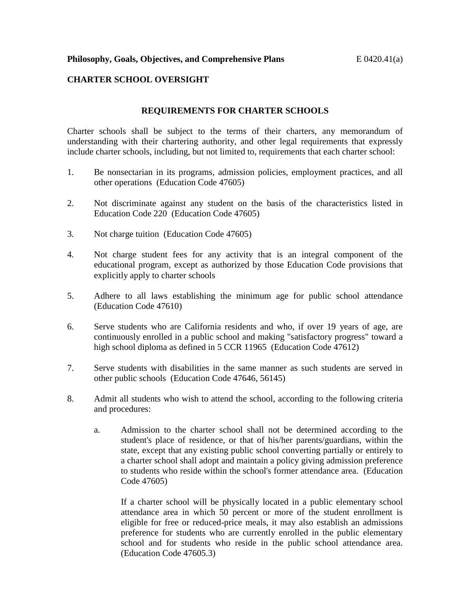## **CHARTER SCHOOL OVERSIGHT**

## **REQUIREMENTS FOR CHARTER SCHOOLS**

Charter schools shall be subject to the terms of their charters, any memorandum of understanding with their chartering authority, and other legal requirements that expressly include charter schools, including, but not limited to, requirements that each charter school:

- 1. Be nonsectarian in its programs, admission policies, employment practices, and all other operations (Education Code 47605)
- 2. Not discriminate against any student on the basis of the characteristics listed in Education Code 220 (Education Code 47605)
- 3. Not charge tuition (Education Code 47605)
- 4. Not charge student fees for any activity that is an integral component of the educational program, except as authorized by those Education Code provisions that explicitly apply to charter schools
- 5. Adhere to all laws establishing the minimum age for public school attendance (Education Code 47610)
- 6. Serve students who are California residents and who, if over 19 years of age, are continuously enrolled in a public school and making "satisfactory progress" toward a high school diploma as defined in 5 CCR 11965 (Education Code 47612)
- 7. Serve students with disabilities in the same manner as such students are served in other public schools (Education Code 47646, 56145)
- 8. Admit all students who wish to attend the school, according to the following criteria and procedures:
	- a. Admission to the charter school shall not be determined according to the student's place of residence, or that of his/her parents/guardians, within the state, except that any existing public school converting partially or entirely to a charter school shall adopt and maintain a policy giving admission preference to students who reside within the school's former attendance area. (Education Code 47605)

If a charter school will be physically located in a public elementary school attendance area in which 50 percent or more of the student enrollment is eligible for free or reduced-price meals, it may also establish an admissions preference for students who are currently enrolled in the public elementary school and for students who reside in the public school attendance area. (Education Code 47605.3)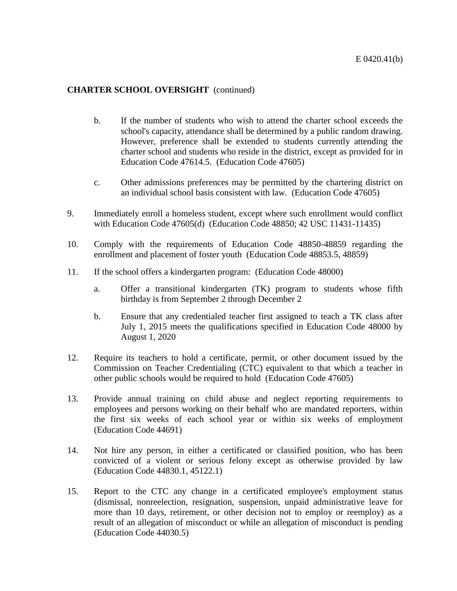- b. If the number of students who wish to attend the charter school exceeds the school's capacity, attendance shall be determined by a public random drawing. However, preference shall be extended to students currently attending the charter school and students who reside in the district, except as provided for in Education Code 47614.5. (Education Code 47605)
- c. Other admissions preferences may be permitted by the chartering district on an individual school basis consistent with law. (Education Code 47605)
- 9. Immediately enroll a homeless student, except where such enrollment would conflict with Education Code 47605(d) (Education Code 48850; 42 USC 11431-11435)
- 10. Comply with the requirements of Education Code 48850-48859 regarding the enrollment and placement of foster youth (Education Code 48853.5, 48859)
- 11. If the school offers a kindergarten program: (Education Code 48000)
	- a. Offer a transitional kindergarten (TK) program to students whose fifth birthday is from September 2 through December 2
	- b. Ensure that any credentialed teacher first assigned to teach a TK class after July 1, 2015 meets the qualifications specified in Education Code 48000 by August 1, 2020
- 12. Require its teachers to hold a certificate, permit, or other document issued by the Commission on Teacher Credentialing (CTC) equivalent to that which a teacher in other public schools would be required to hold (Education Code 47605)
- 13. Provide annual training on child abuse and neglect reporting requirements to employees and persons working on their behalf who are mandated reporters, within the first six weeks of each school year or within six weeks of employment (Education Code 44691)
- 14. Not hire any person, in either a certificated or classified position, who has been convicted of a violent or serious felony except as otherwise provided by law (Education Code 44830.1, 45122.1)
- 15. Report to the CTC any change in a certificated employee's employment status (dismissal, nonreelection, resignation, suspension, unpaid administrative leave for more than 10 days, retirement, or other decision not to employ or reemploy) as a result of an allegation of misconduct or while an allegation of misconduct is pending (Education Code 44030.5)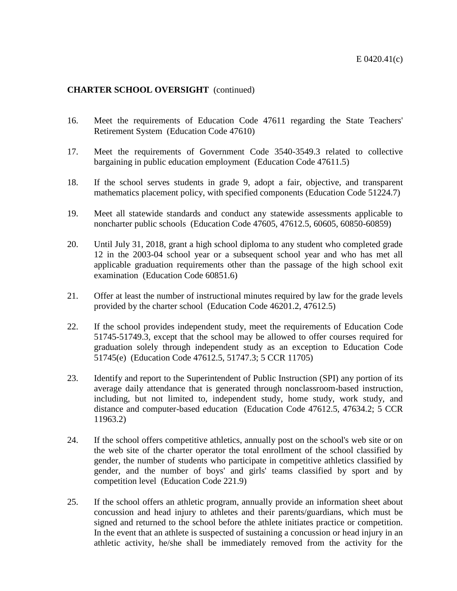- 16. Meet the requirements of Education Code 47611 regarding the State Teachers' Retirement System (Education Code 47610)
- 17. Meet the requirements of Government Code 3540-3549.3 related to collective bargaining in public education employment (Education Code 47611.5)
- 18. If the school serves students in grade 9, adopt a fair, objective, and transparent mathematics placement policy, with specified components (Education Code 51224.7)
- 19. Meet all statewide standards and conduct any statewide assessments applicable to noncharter public schools (Education Code 47605, 47612.5, 60605, 60850-60859)
- 20. Until July 31, 2018, grant a high school diploma to any student who completed grade 12 in the 2003-04 school year or a subsequent school year and who has met all applicable graduation requirements other than the passage of the high school exit examination (Education Code 60851.6)
- 21. Offer at least the number of instructional minutes required by law for the grade levels provided by the charter school (Education Code 46201.2, 47612.5)
- 22. If the school provides independent study, meet the requirements of Education Code 51745-51749.3, except that the school may be allowed to offer courses required for graduation solely through independent study as an exception to Education Code 51745(e) (Education Code 47612.5, 51747.3; 5 CCR 11705)
- 23. Identify and report to the Superintendent of Public Instruction (SPI) any portion of its average daily attendance that is generated through nonclassroom-based instruction, including, but not limited to, independent study, home study, work study, and distance and computer-based education (Education Code 47612.5, 47634.2; 5 CCR 11963.2)
- 24. If the school offers competitive athletics, annually post on the school's web site or on the web site of the charter operator the total enrollment of the school classified by gender, the number of students who participate in competitive athletics classified by gender, and the number of boys' and girls' teams classified by sport and by competition level (Education Code 221.9)
- 25. If the school offers an athletic program, annually provide an information sheet about concussion and head injury to athletes and their parents/guardians, which must be signed and returned to the school before the athlete initiates practice or competition. In the event that an athlete is suspected of sustaining a concussion or head injury in an athletic activity, he/she shall be immediately removed from the activity for the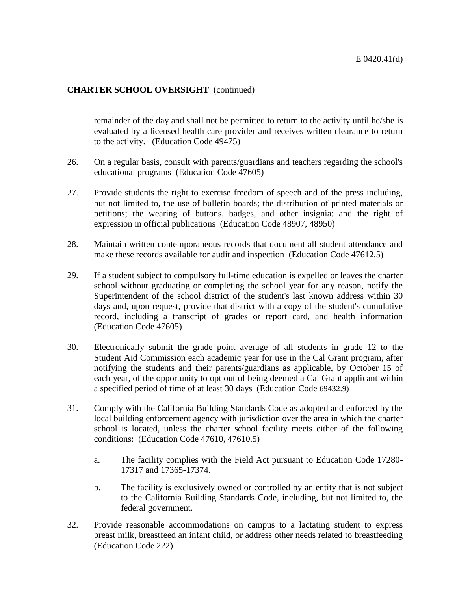remainder of the day and shall not be permitted to return to the activity until he/she is evaluated by a licensed health care provider and receives written clearance to return to the activity. (Education Code 49475)

- 26. On a regular basis, consult with parents/guardians and teachers regarding the school's educational programs (Education Code 47605)
- 27. Provide students the right to exercise freedom of speech and of the press including, but not limited to, the use of bulletin boards; the distribution of printed materials or petitions; the wearing of buttons, badges, and other insignia; and the right of expression in official publications (Education Code 48907, 48950)
- 28. Maintain written contemporaneous records that document all student attendance and make these records available for audit and inspection (Education Code 47612.5)
- 29. If a student subject to compulsory full-time education is expelled or leaves the charter school without graduating or completing the school year for any reason, notify the Superintendent of the school district of the student's last known address within 30 days and, upon request, provide that district with a copy of the student's cumulative record, including a transcript of grades or report card, and health information (Education Code 47605)
- 30. Electronically submit the grade point average of all students in grade 12 to the Student Aid Commission each academic year for use in the Cal Grant program, after notifying the students and their parents/guardians as applicable, by October 15 of each year, of the opportunity to opt out of being deemed a Cal Grant applicant within a specified period of time of at least 30 days (Education Code 69432.9)
- 31. Comply with the California Building Standards Code as adopted and enforced by the local building enforcement agency with jurisdiction over the area in which the charter school is located, unless the charter school facility meets either of the following conditions: (Education Code 47610, 47610.5)
	- a. The facility complies with the Field Act pursuant to Education Code 17280- 17317 and 17365-17374.
	- b. The facility is exclusively owned or controlled by an entity that is not subject to the California Building Standards Code, including, but not limited to, the federal government.
- 32. Provide reasonable accommodations on campus to a lactating student to express breast milk, breastfeed an infant child, or address other needs related to breastfeeding (Education Code 222)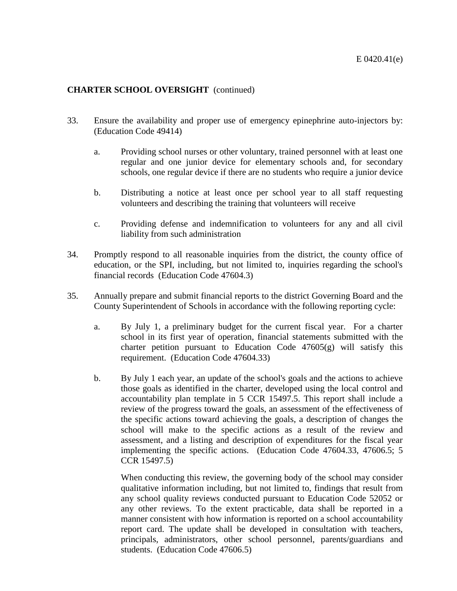- 33. Ensure the availability and proper use of emergency epinephrine auto-injectors by: (Education Code 49414)
	- a. Providing school nurses or other voluntary, trained personnel with at least one regular and one junior device for elementary schools and, for secondary schools, one regular device if there are no students who require a junior device
	- b. Distributing a notice at least once per school year to all staff requesting volunteers and describing the training that volunteers will receive
	- c. Providing defense and indemnification to volunteers for any and all civil liability from such administration
- 34. Promptly respond to all reasonable inquiries from the district, the county office of education, or the SPI, including, but not limited to, inquiries regarding the school's financial records (Education Code 47604.3)
- 35. Annually prepare and submit financial reports to the district Governing Board and the County Superintendent of Schools in accordance with the following reporting cycle:
	- a. By July 1, a preliminary budget for the current fiscal year. For a charter school in its first year of operation, financial statements submitted with the charter petition pursuant to Education Code 47605(g) will satisfy this requirement. (Education Code 47604.33)
	- b. By July 1 each year, an update of the school's goals and the actions to achieve those goals as identified in the charter, developed using the local control and accountability plan template in 5 CCR 15497.5. This report shall include a review of the progress toward the goals, an assessment of the effectiveness of the specific actions toward achieving the goals, a description of changes the school will make to the specific actions as a result of the review and assessment, and a listing and description of expenditures for the fiscal year implementing the specific actions. (Education Code 47604.33, 47606.5; 5 CCR 15497.5)

When conducting this review, the governing body of the school may consider qualitative information including, but not limited to, findings that result from any school quality reviews conducted pursuant to Education Code 52052 or any other reviews. To the extent practicable, data shall be reported in a manner consistent with how information is reported on a school accountability report card. The update shall be developed in consultation with teachers, principals, administrators, other school personnel, parents/guardians and students. (Education Code 47606.5)